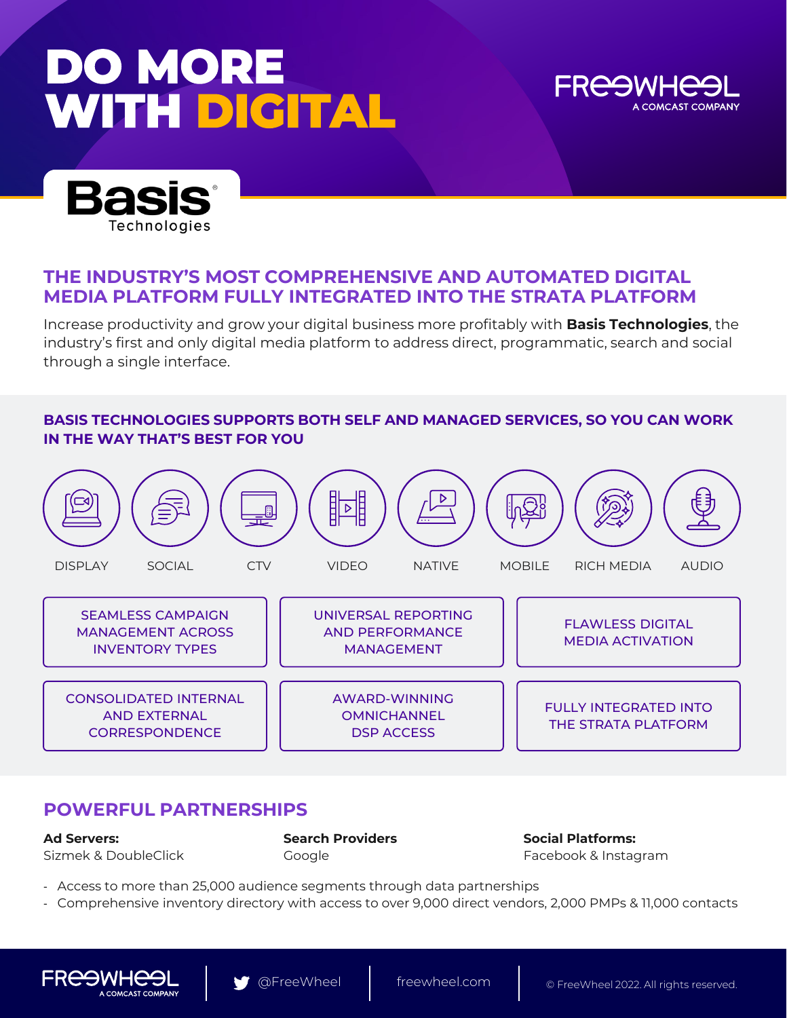# **DO MORE WITH DIGITAL**





### **THE INDUSTRY'S MOST COMPREHENSIVE AND AUTOMATED DIGITAL MEDIA PLATFORM FULLY INTEGRATED INTO THE STRATA PLATFORM**

Increase productivity and grow your digital business more profitably with **Basis Technologies**, the industry's first and only digital media platform to address direct, programmatic, search and social through a single interface.

#### **BASIS TECHNOLOGIES SUPPORTS BOTH SELF AND MANAGED SERVICES, SO YOU CAN WORK IN THE WAY THAT'S BEST FOR YOU**



### **POWERFUL PARTNERSHIPS**

**Ad Servers:** Sizmek & DoubleClick **Search Providers** Google

**Social Platforms:** Facebook & Instagram

- Access to more than 25,000 audience segments through data partnerships
- Comprehensive inventory directory with access to over 9,000 direct vendors, 2,000 PMPs & 11,000 contacts